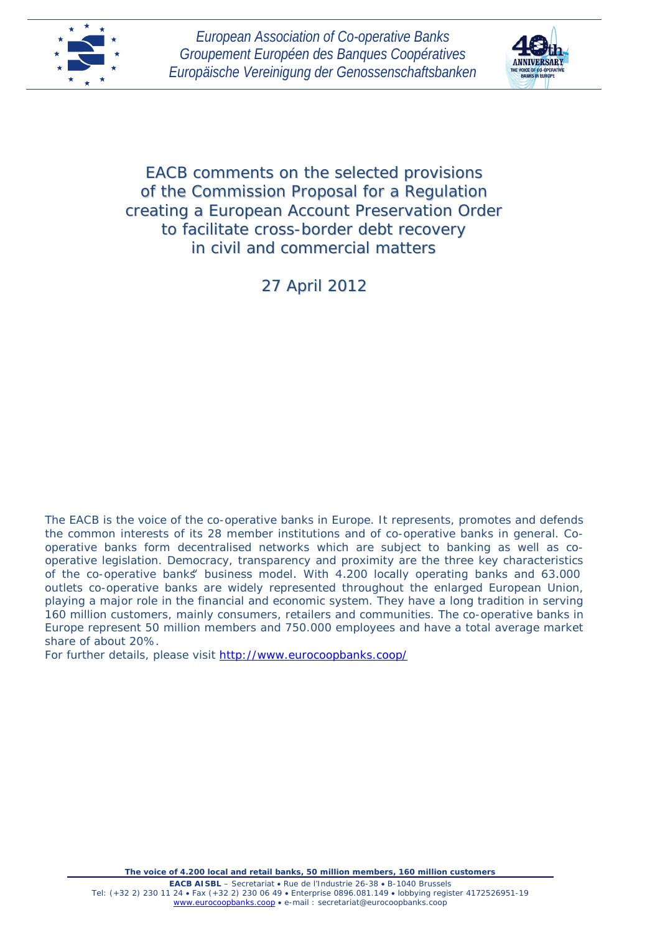



EACB comments on the selected provisions of the Commission Proposal for a Regulation creating a European Account Preservation Order to facilitate cross-border debt recovery in civil and commercial matters

27 April 2012

The EACB is the voice of the co-operative banks in Europe. It represents, promotes and defends the common interests of its 28 member institutions and of co-operative banks in general. Cooperative banks form decentralised networks which are subject to banking as well as cooperative legislation. Democracy, transparency and proximity are the three key characteristics of the co-operative banks" business model. With 4.200 locally operating banks and 63.000 outlets co-operative banks are widely represented throughout the enlarged European Union, playing a major role in the financial and economic system. They have a long tradition in serving 160 million customers, mainly consumers, retailers and communities. The co-operative banks in Europe represent 50 million members and 750.000 employees and have a total average market share of about 20%.

For further details, please visit<http://www.eurocoopbanks.coop/>

*The voice of 4.200 local and retail banks, 50 million members, 160 million customers*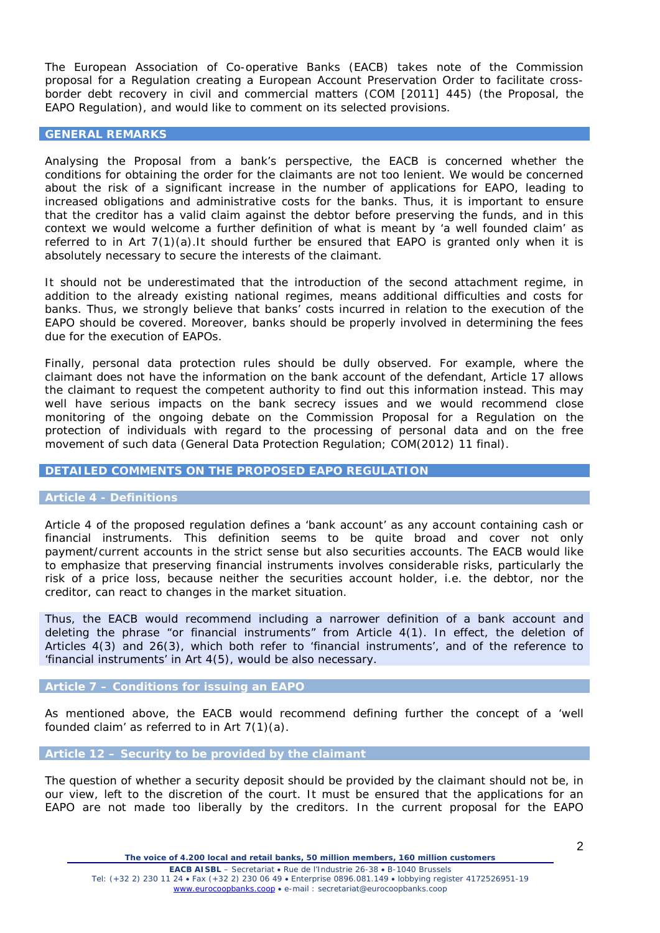The European Association of Co-operative Banks (EACB) takes note of the Commission proposal for a Regulation creating a European Account Preservation Order to facilitate crossborder debt recovery in civil and commercial matters (COM [2011] 445) (the Proposal, the EAPO Regulation), and would like to comment on its selected provisions.

### **GENERAL REMARKS**

Analysing the Proposal from a bank's perspective, the EACB is concerned whether the conditions for obtaining the order for the claimants are not too lenient. We would be concerned about the risk of a significant increase in the number of applications for EAPO, leading to increased obligations and administrative costs for the banks. Thus, it is important to ensure that the creditor has a valid claim against the debtor before preserving the funds, and in this context we would welcome a further definition of what is meant by *'a well founded claim'* as referred to in Art  $7(1)(a)$ . It should further be ensured that EAPO is granted only when it is absolutely necessary to secure the interests of the claimant.

It should not be underestimated that the introduction of the second attachment regime, in addition to the already existing national regimes, means additional difficulties and costs for banks. Thus, we strongly believe that banks' costs incurred in relation to the execution of the EAPO should be covered. Moreover, banks should be properly involved in determining the fees due for the execution of EAPOs.

Finally, personal data protection rules should be dully observed. For example, where the claimant does not have the information on the bank account of the defendant, Article 17 allows the claimant to request the competent authority to find out this information instead. This may well have serious impacts on the bank secrecy issues and we would recommend close monitoring of the ongoing debate on the Commission Proposal for a Regulation on the protection of individuals with regard to the processing of personal data and on the free movement of such data (General Data Protection Regulation; COM(2012) 11 final).

# **DETAILED COMMENTS ON THE PROPOSED EAPO REGULATION**

# **Article 4 -** *Definitions*

Article 4 of the proposed regulation defines a '*bank account*' as any account containing cash or financial instruments. This definition seems to be quite broad and cover not only payment/current accounts in the strict sense but also securities accounts. The EACB would like to emphasize that preserving financial instruments involves considerable risks, particularly the risk of a price loss, because neither the securities account holder, i.e. the debtor, nor the creditor, can react to changes in the market situation.

Thus, the EACB would recommend including a narrower definition of a bank account and deleting the phrase "*or financial instruments*" from Article 4(1). In effect, the deletion of Articles 4(3) and 26(3), which both refer to *'financial instruments',* and of the reference to 'financial instruments' in Art 4(5), would be also necessary.

#### **Article 7 –** *Conditions for issuing an EAPO*

As mentioned above, the EACB would recommend defining further the concept of a *'well founded claim'* as referred to in Art 7(1)(a).

### **Article 12 –** *Security to be provided by the claimant*

The question of whether a security deposit should be provided by the claimant should not be, in our view, left to the discretion of the court. It must be ensured that the applications for an EAPO are not made too liberally by the creditors. In the current proposal for the EAPO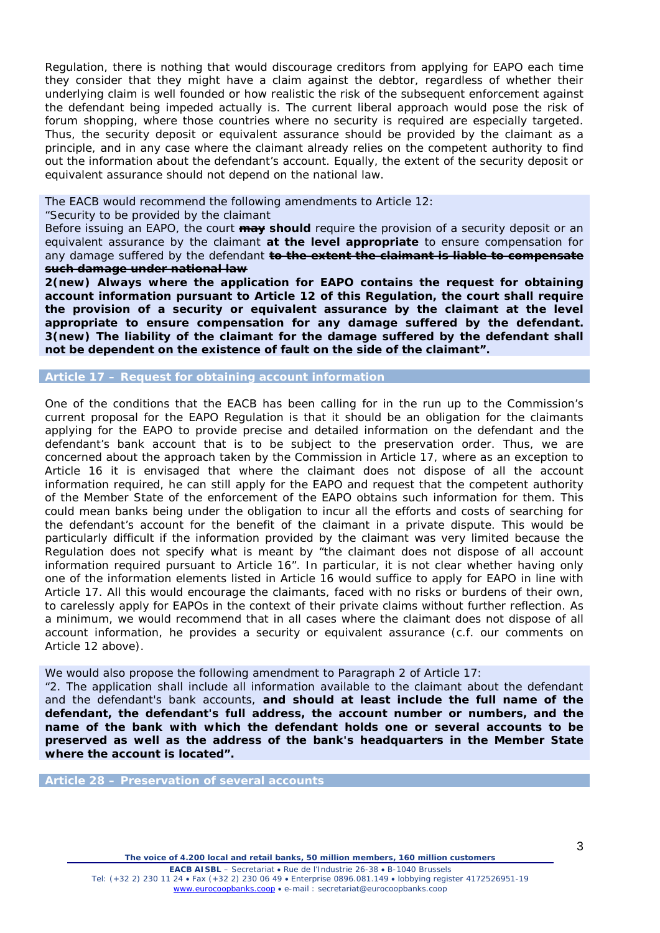Regulation, there is nothing that would discourage creditors from applying for EAPO each time they consider that they might have a claim against the debtor, regardless of whether their underlying claim is well founded or how realistic the risk of the subsequent enforcement against the defendant being impeded actually is. The current liberal approach would pose the risk of forum shopping, where those countries where no security is required are especially targeted. Thus, the security deposit or equivalent assurance should be provided by the claimant as a principle, and in any case where the claimant already relies on the competent authority to find out the information about the defendant's account. Equally, the extent of the security deposit or equivalent assurance should not depend on the national law.

The EACB would recommend the following amendments to Article 12:

### *"Security to be provided by the claimant*

*Before issuing an EAPO, the court may should require the provision of a security deposit or an equivalent assurance by the claimant at the level appropriate to ensure compensation for any damage suffered by the defendant to the extent the claimant is liable to compensate such damage under national law*

*2(new) Always where the application for EAPO contains the request for obtaining account information pursuant to Article 12 of this Regulation, the court shall require the provision of a security or equivalent assurance by the claimant at the level appropriate to ensure compensation for any damage suffered by the defendant. 3(new) The liability of the claimant for the damage suffered by the defendant shall not be dependent on the existence of fault on the side of the claimant".*

#### **Article 17 –** *Request for obtaining account information*

One of the conditions that the EACB has been calling for in the run up to the Commission's current proposal for the EAPO Regulation is that it should be an obligation for the claimants applying for the EAPO to provide precise and detailed information on the defendant and the defendant's bank account that is to be subject to the preservation order. Thus, we are concerned about the approach taken by the Commission in Article 17, where as an exception to Article 16 it is envisaged that where the claimant does not dispose of all the account information required, he can still apply for the EAPO and request that the competent authority of the Member State of the enforcement of the EAPO obtains such information for them. This could mean banks being under the obligation to incur all the efforts and costs of searching for the defendant's account for the benefit of the claimant in a private dispute. This would be particularly difficult if the information provided by the claimant was very limited because the Regulation does not specify what is meant by *"the claimant does not dispose of all account information required pursuant to Article 16".* In particular, it is not clear whether having only one of the information elements listed in Article 16 would suffice to apply for EAPO in line with Article 17. All this would encourage the claimants, faced with no risks or burdens of their own, to carelessly apply for EAPOs in the context of their private claims without further reflection. As a minimum, we would recommend that in all cases where the claimant does not dispose of all account information, he provides a security or equivalent assurance (c.f. our comments on Article 12 above).

We would also propose the following amendment to Paragraph 2 of Article 17:

*"2. The application shall include all information available to the claimant about the defendant and the defendant's bank accounts, and should at least include the full name of the defendant, the defendant's full address, the account number or numbers, and the name of the bank with which the defendant holds one or several accounts to be preserved as well as the address of the bank's headquarters in the Member State where the account is located".*

**Article 28 –** *Preservation of several accounts*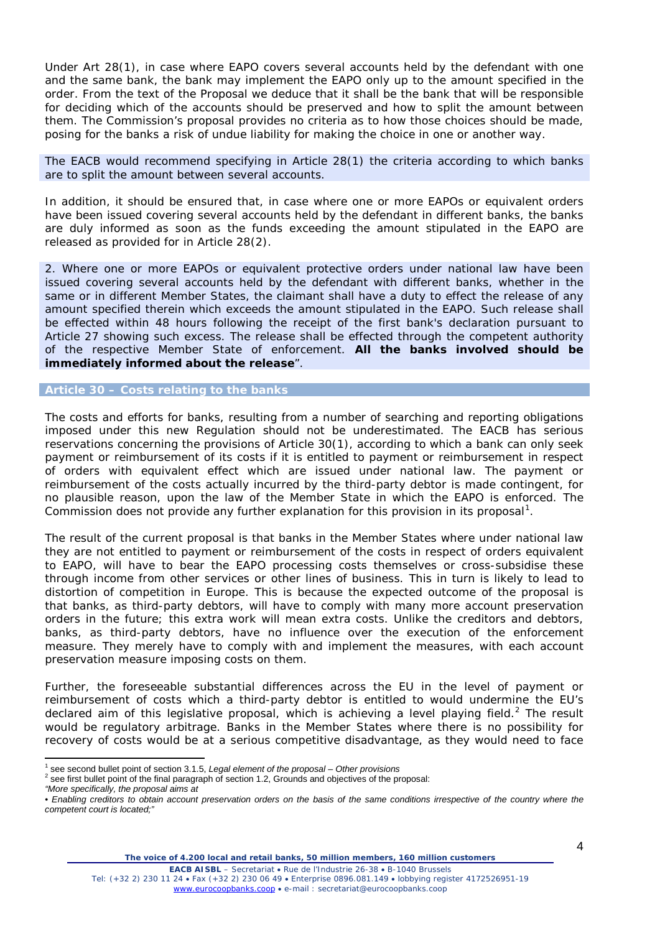Under Art 28(1), in case where EAPO covers several accounts held by the defendant with one and the same bank, the bank may implement the EAPO only up to the amount specified in the order. From the text of the Proposal we deduce that it shall be the bank that will be responsible for deciding which of the accounts should be preserved and how to split the amount between them. The Commission's proposal provides no criteria as to how those choices should be made, posing for the banks a risk of undue liability for making the choice in one or another way.

The EACB would recommend specifying in Article 28(1) the criteria according to which banks are to split the amount between several accounts.

In addition, it should be ensured that, in case where one or more EAPOs or equivalent orders have been issued covering several accounts held by the defendant in different banks, the banks are duly informed as soon as the funds exceeding the amount stipulated in the EAPO are released as provided for in Article 28(2).

*2. Where one or more EAPOs or equivalent protective orders under national law have been issued covering several accounts held by the defendant with different banks, whether in the same or in different Member States, the claimant shall have a duty to effect the release of any amount specified therein which exceeds the amount stipulated in the EAPO. Such release shall be effected within 48 hours following the receipt of the first bank's declaration pursuant to Article 27 showing such excess. The release shall be effected through the competent authority of the respective Member State of enforcement. All the banks involved should be immediately informed about the release".*

# **Article 30 –** *Costs relating to the banks*

The costs and efforts for banks, resulting from a number of searching and reporting obligations imposed under this new Regulation should not be underestimated. The EACB has serious reservations concerning the provisions of Article 30(1), according to which a bank can only seek payment or reimbursement of its costs if it is entitled to payment or reimbursement in respect of orders with equivalent effect which are issued under national law. The payment or reimbursement of the costs actually incurred by the third-party debtor is made contingent, for no plausible reason, upon the law of the Member State in which the EAPO is enforced. The Commission does not provide any further explanation for this provision in its proposal<sup>[1](#page-3-0)</sup>.

The result of the current proposal is that banks in the Member States where under national law they are not entitled to payment or reimbursement of the costs in respect of orders equivalent to EAPO, will have to bear the EAPO processing costs themselves or cross-subsidise these through income from other services or other lines of business. This in turn is likely to lead to distortion of competition in Europe. This is because the expected outcome of the proposal is that banks, as third-party debtors, will have to comply with many more account preservation orders in the future; this extra work will mean extra costs. Unlike the creditors and debtors, banks, as third-party debtors, have no influence over the execution of the enforcement measure. They merely have to comply with and implement the measures, with each account preservation measure imposing costs on them.

Further, the foreseeable substantial differences across the EU in the level of payment or reimbursement of costs which a third-party debtor is entitled to would undermine the EU's declared aim of this legislative proposal, which is achieving a level playing field.<sup>[2](#page-3-1)</sup> The result would be regulatory arbitrage. Banks in the Member States where there is no possibility for recovery of costs would be at a serious competitive disadvantage, as they would need to face

*"More specifically, the proposal aims at* 

<span id="page-3-0"></span> <sup>1</sup> see second bullet point of section 3.1.5, *Legal element of the proposal – Other provisions*

<span id="page-3-1"></span> $2$  see first bullet point of the final paragraph of section 1.2, Grounds and objectives of the proposal:

<sup>•</sup> *Enabling creditors to obtain account preservation orders on the basis of the same conditions irrespective of the country where the competent court is located;"*